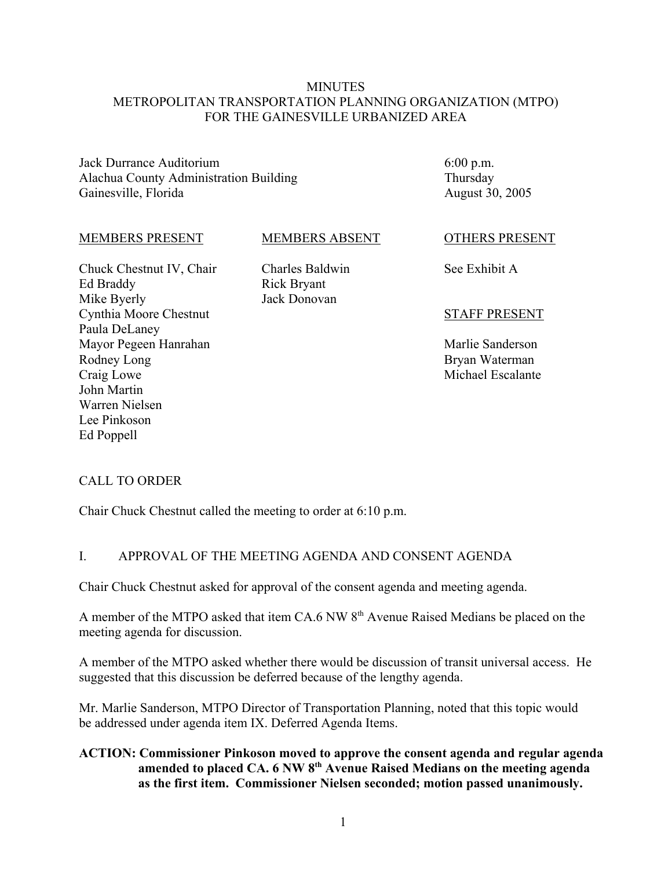#### **MINUTES** METROPOLITAN TRANSPORTATION PLANNING ORGANIZATION (MTPO) FOR THE GAINESVILLE URBANIZED AREA

Jack Durrance Auditorium Alachua County Administration Building Gainesville, Florida

6:00 p.m. Thursday August 30, 2005

#### MEMBERS PRESENT

Chuck Chestnut IV, Chair Ed Braddy Mike Byerly Cynthia Moore Chestnut Paula DeLaney Mayor Pegeen Hanrahan Rodney Long Craig Lowe John Martin Warren Nielsen Lee Pinkoson Ed Poppell

MEMBERS ABSENT

Charles Baldwin Rick Bryant Jack Donovan

#### OTHERS PRESENT

See Exhibit A

#### STAFF PRESENT

Marlie Sanderson Bryan Waterman Michael Escalante

#### CALL TO ORDER

Chair Chuck Chestnut called the meeting to order at 6:10 p.m.

#### I. APPROVAL OF THE MEETING AGENDA AND CONSENT AGENDA

Chair Chuck Chestnut asked for approval of the consent agenda and meeting agenda.

A member of the MTPO asked that item CA.6 NW  $8<sup>th</sup>$  Avenue Raised Medians be placed on the meeting agenda for discussion.

A member of the MTPO asked whether there would be discussion of transit universal access. He suggested that this discussion be deferred because of the lengthy agenda.

Mr. Marlie Sanderson, MTPO Director of Transportation Planning, noted that this topic would be addressed under agenda item IX. Deferred Agenda Items.

### **ACTION: Commissioner Pinkoson moved to approve the consent agenda and regular agenda** amended to placed CA. 6 NW 8<sup>th</sup> Avenue Raised Medians on the meeting agenda **as the first item. Commissioner Nielsen seconded; motion passed unanimously.**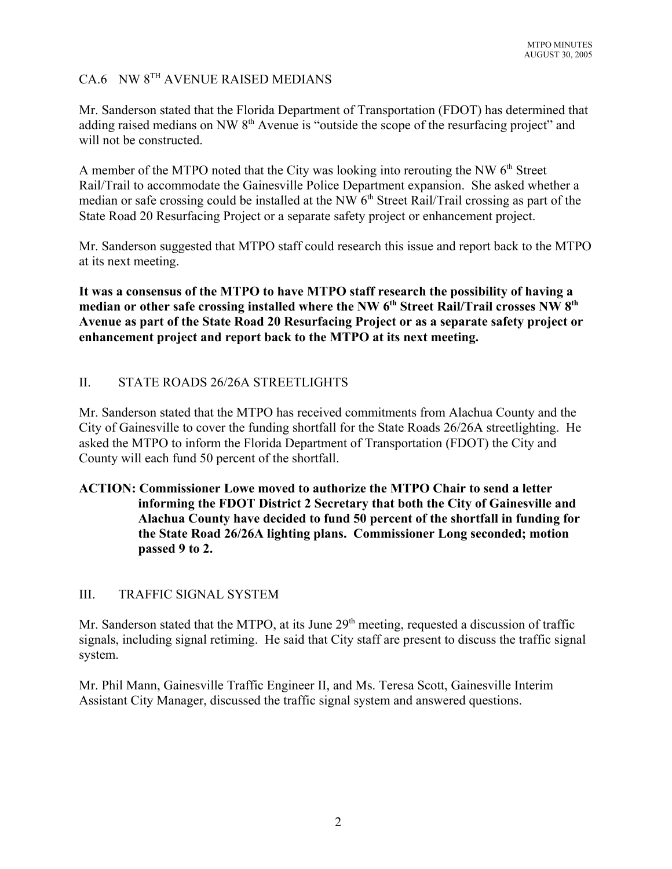## CA.6 NW 8TH AVENUE RAISED MEDIANS

Mr. Sanderson stated that the Florida Department of Transportation (FDOT) has determined that adding raised medians on NW 8<sup>th</sup> Avenue is "outside the scope of the resurfacing project" and will not be constructed.

A member of the MTPO noted that the City was looking into rerouting the NW  $6<sup>th</sup>$  Street Rail/Trail to accommodate the Gainesville Police Department expansion. She asked whether a median or safe crossing could be installed at the NW  $6<sup>th</sup>$  Street Rail/Trail crossing as part of the State Road 20 Resurfacing Project or a separate safety project or enhancement project.

Mr. Sanderson suggested that MTPO staff could research this issue and report back to the MTPO at its next meeting.

**It was a consensus of the MTPO to have MTPO staff research the possibility of having a** median or other safe crossing installed where the NW 6<sup>th</sup> Street Rail/Trail crosses NW 8<sup>th</sup> **Avenue as part of the State Road 20 Resurfacing Project or as a separate safety project or enhancement project and report back to the MTPO at its next meeting.**

## II. STATE ROADS 26/26A STREETLIGHTS

Mr. Sanderson stated that the MTPO has received commitments from Alachua County and the City of Gainesville to cover the funding shortfall for the State Roads 26/26A streetlighting. He asked the MTPO to inform the Florida Department of Transportation (FDOT) the City and County will each fund 50 percent of the shortfall.

## **ACTION: Commissioner Lowe moved to authorize the MTPO Chair to send a letter informing the FDOT District 2 Secretary that both the City of Gainesville and Alachua County have decided to fund 50 percent of the shortfall in funding for the State Road 26/26A lighting plans. Commissioner Long seconded; motion passed 9 to 2.**

#### III. TRAFFIC SIGNAL SYSTEM

Mr. Sanderson stated that the MTPO, at its June  $29<sup>th</sup>$  meeting, requested a discussion of traffic signals, including signal retiming. He said that City staff are present to discuss the traffic signal system.

Mr. Phil Mann, Gainesville Traffic Engineer II, and Ms. Teresa Scott, Gainesville Interim Assistant City Manager, discussed the traffic signal system and answered questions.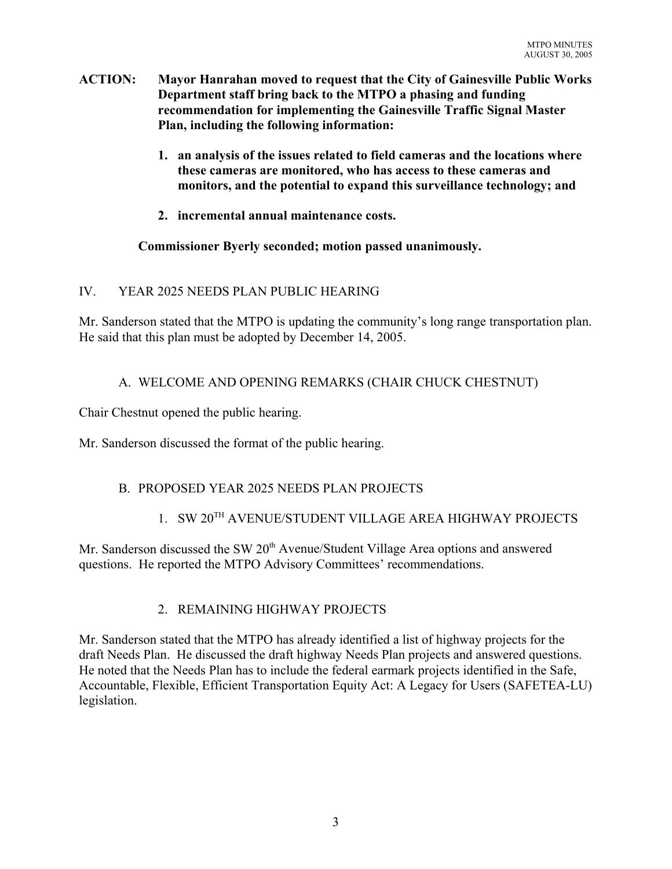- **ACTION: Mayor Hanrahan moved to request that the City of Gainesville Public Works Department staff bring back to the MTPO a phasing and funding recommendation for implementing the Gainesville Traffic Signal Master Plan, including the following information:**
	- **1. an analysis of the issues related to field cameras and the locations where these cameras are monitored, who has access to these cameras and monitors, and the potential to expand this surveillance technology; and**
	- **2. incremental annual maintenance costs.**

## **Commissioner Byerly seconded; motion passed unanimously.**

## IV. YEAR 2025 NEEDS PLAN PUBLIC HEARING

Mr. Sanderson stated that the MTPO is updating the community's long range transportation plan. He said that this plan must be adopted by December 14, 2005.

## A. WELCOME AND OPENING REMARKS (CHAIR CHUCK CHESTNUT)

Chair Chestnut opened the public hearing.

Mr. Sanderson discussed the format of the public hearing.

## B. PROPOSED YEAR 2025 NEEDS PLAN PROJECTS

## 1. SW 20TH AVENUE/STUDENT VILLAGE AREA HIGHWAY PROJECTS

Mr. Sanderson discussed the SW 20<sup>th</sup> Avenue/Student Village Area options and answered questions. He reported the MTPO Advisory Committees' recommendations.

## 2. REMAINING HIGHWAY PROJECTS

Mr. Sanderson stated that the MTPO has already identified a list of highway projects for the draft Needs Plan. He discussed the draft highway Needs Plan projects and answered questions. He noted that the Needs Plan has to include the federal earmark projects identified in the Safe, Accountable, Flexible, Efficient Transportation Equity Act: A Legacy for Users (SAFETEA-LU) legislation.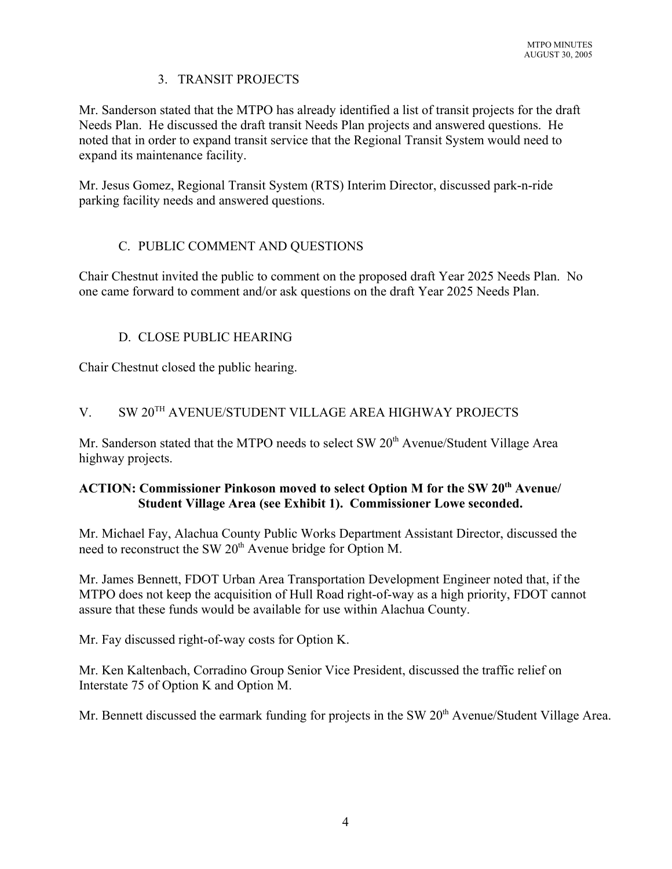## 3. TRANSIT PROJECTS

Mr. Sanderson stated that the MTPO has already identified a list of transit projects for the draft Needs Plan. He discussed the draft transit Needs Plan projects and answered questions. He noted that in order to expand transit service that the Regional Transit System would need to expand its maintenance facility.

Mr. Jesus Gomez, Regional Transit System (RTS) Interim Director, discussed park-n-ride parking facility needs and answered questions.

## C. PUBLIC COMMENT AND QUESTIONS

Chair Chestnut invited the public to comment on the proposed draft Year 2025 Needs Plan. No one came forward to comment and/or ask questions on the draft Year 2025 Needs Plan.

## D. CLOSE PUBLIC HEARING

Chair Chestnut closed the public hearing.

## V. SW 20TH AVENUE/STUDENT VILLAGE AREA HIGHWAY PROJECTS

Mr. Sanderson stated that the MTPO needs to select SW 20<sup>th</sup> Avenue/Student Village Area highway projects.

### **ACTION: Commissioner Pinkoson moved to select Option M for the SW 20th Avenue/ Student Village Area (see Exhibit 1). Commissioner Lowe seconded.**

Mr. Michael Fay, Alachua County Public Works Department Assistant Director, discussed the need to reconstruct the SW 20<sup>th</sup> Avenue bridge for Option M.

Mr. James Bennett, FDOT Urban Area Transportation Development Engineer noted that, if the MTPO does not keep the acquisition of Hull Road right-of-way as a high priority, FDOT cannot assure that these funds would be available for use within Alachua County.

Mr. Fay discussed right-of-way costs for Option K.

Mr. Ken Kaltenbach, Corradino Group Senior Vice President, discussed the traffic relief on Interstate 75 of Option K and Option M.

Mr. Bennett discussed the earmark funding for projects in the SW 20<sup>th</sup> Avenue/Student Village Area.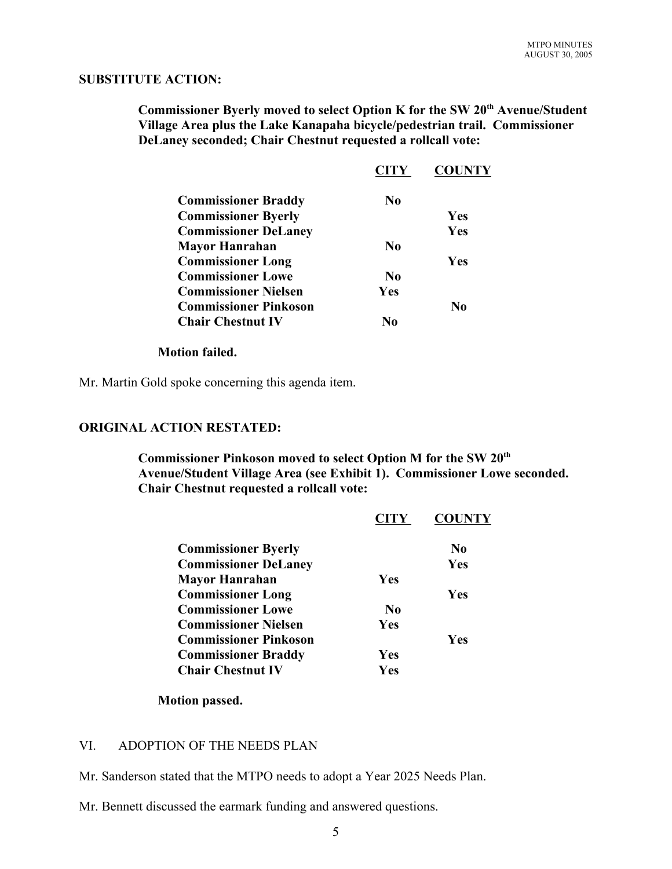#### **SUBSTITUTE ACTION:**

Commissioner Byerly moved to select Option K for the SW 20<sup>th</sup> Avenue/Student **Village Area plus the Lake Kanapaha bicycle/pedestrian trail. Commissioner DeLaney seconded; Chair Chestnut requested a rollcall vote:**

|                              | <b>CITY</b>    | <b>COUNTY</b> |
|------------------------------|----------------|---------------|
| <b>Commissioner Braddy</b>   | N <sub>0</sub> |               |
| <b>Commissioner Byerly</b>   |                | Yes           |
| <b>Commissioner DeLaney</b>  |                | Yes           |
| Mayor Hanrahan               | $\bf No$       |               |
| <b>Commissioner Long</b>     |                | Yes           |
| <b>Commissioner Lowe</b>     | N <sub>0</sub> |               |
| <b>Commissioner Nielsen</b>  | Yes            |               |
| <b>Commissioner Pinkoson</b> |                | $\bf No$      |
| <b>Chair Chestnut IV</b>     | No             |               |
|                              |                |               |

#### **Motion failed.**

Mr. Martin Gold spoke concerning this agenda item.

#### **ORIGINAL ACTION RESTATED:**

**Commissioner Pinkoson moved to select Option M for the SW 20th Avenue/Student Village Area (see Exhibit 1). Commissioner Lowe seconded. Chair Chestnut requested a rollcall vote:**

|                              | <b>CITY</b> | <b>COUNTY</b> |
|------------------------------|-------------|---------------|
| <b>Commissioner Byerly</b>   |             | No.           |
| <b>Commissioner DeLaney</b>  |             | Yes           |
| <b>Mayor Hanrahan</b>        | Yes         |               |
| <b>Commissioner Long</b>     |             | <b>Yes</b>    |
| <b>Commissioner Lowe</b>     | No.         |               |
| <b>Commissioner Nielsen</b>  | Yes         |               |
| <b>Commissioner Pinkoson</b> |             | <b>Yes</b>    |
| <b>Commissioner Braddy</b>   | <b>Yes</b>  |               |
| <b>Chair Chestnut IV</b>     | <b>Yes</b>  |               |
|                              |             |               |

#### **Motion passed.**

#### VI. ADOPTION OF THE NEEDS PLAN

Mr. Sanderson stated that the MTPO needs to adopt a Year 2025 Needs Plan.

Mr. Bennett discussed the earmark funding and answered questions.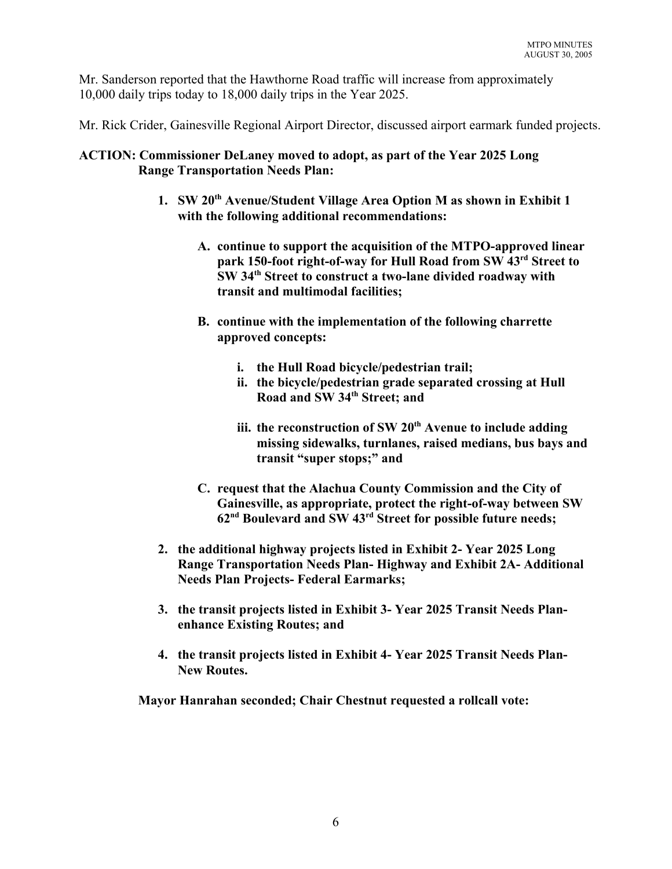Mr. Sanderson reported that the Hawthorne Road traffic will increase from approximately 10,000 daily trips today to 18,000 daily trips in the Year 2025.

Mr. Rick Crider, Gainesville Regional Airport Director, discussed airport earmark funded projects.

### **ACTION: Commissioner DeLaney moved to adopt, as part of the Year 2025 Long Range Transportation Needs Plan:**

- **1. SW 20th Avenue/Student Village Area Option M as shown in Exhibit 1 with the following additional recommendations:**
	- **A. continue to support the acquisition of the MTPO-approved linear park 150-foot right-of-way for Hull Road from SW 43rd Street to SW 34th Street to construct a two-lane divided roadway with transit and multimodal facilities;**
	- **B. continue with the implementation of the following charrette approved concepts:**
		- **i. the Hull Road bicycle/pedestrian trail;**
		- **ii. the bicycle/pedestrian grade separated crossing at Hull Road and SW 34th Street; and**
		- iii. the reconstruction of SW 20<sup>th</sup> Avenue to include adding **missing sidewalks, turnlanes, raised medians, bus bays and transit "super stops;" and**
	- **C. request that the Alachua County Commission and the City of Gainesville, as appropriate, protect the right-of-way between SW 62nd Boulevard and SW 43rd Street for possible future needs;**
- **2. the additional highway projects listed in Exhibit 2- Year 2025 Long Range Transportation Needs Plan- Highway and Exhibit 2A- Additional Needs Plan Projects- Federal Earmarks;**
- **3. the transit projects listed in Exhibit 3- Year 2025 Transit Needs Planenhance Existing Routes; and**
- **4. the transit projects listed in Exhibit 4- Year 2025 Transit Needs Plan-New Routes.**

**Mayor Hanrahan seconded; Chair Chestnut requested a rollcall vote:**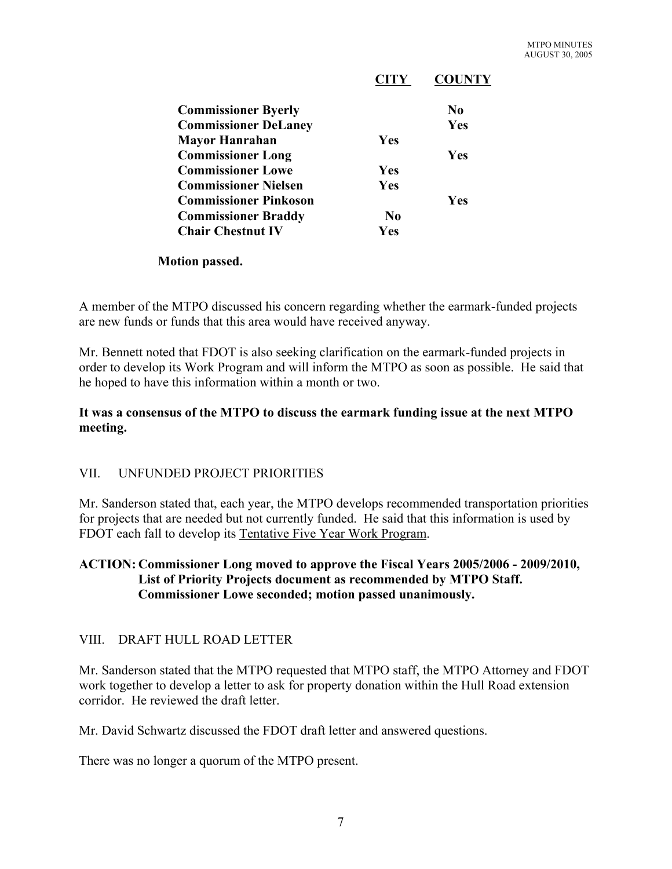|                              | <b>CITY</b> | <b>COUNTY</b> |
|------------------------------|-------------|---------------|
| <b>Commissioner Byerly</b>   |             | No.           |
| <b>Commissioner DeLaney</b>  |             | Yes           |
| <b>Mayor Hanrahan</b>        | Yes         |               |
| <b>Commissioner Long</b>     |             | Yes           |
| <b>Commissioner Lowe</b>     | Yes         |               |
| <b>Commissioner Nielsen</b>  | Yes         |               |
| <b>Commissioner Pinkoson</b> |             | Yes           |
| <b>Commissioner Braddy</b>   | No.         |               |
| <b>Chair Chestnut IV</b>     | Yes         |               |

**Motion passed.**

A member of the MTPO discussed his concern regarding whether the earmark-funded projects are new funds or funds that this area would have received anyway.

Mr. Bennett noted that FDOT is also seeking clarification on the earmark-funded projects in order to develop its Work Program and will inform the MTPO as soon as possible. He said that he hoped to have this information within a month or two.

**It was a consensus of the MTPO to discuss the earmark funding issue at the next MTPO meeting.**

## VII. UNFUNDED PROJECT PRIORITIES

Mr. Sanderson stated that, each year, the MTPO develops recommended transportation priorities for projects that are needed but not currently funded. He said that this information is used by FDOT each fall to develop its Tentative Five Year Work Program.

## **ACTION: Commissioner Long moved to approve the Fiscal Years 2005/2006 - 2009/2010, List of Priority Projects document as recommended by MTPO Staff. Commissioner Lowe seconded; motion passed unanimously.**

## VIII. DRAFT HULL ROAD LETTER

Mr. Sanderson stated that the MTPO requested that MTPO staff, the MTPO Attorney and FDOT work together to develop a letter to ask for property donation within the Hull Road extension corridor. He reviewed the draft letter.

Mr. David Schwartz discussed the FDOT draft letter and answered questions.

There was no longer a quorum of the MTPO present.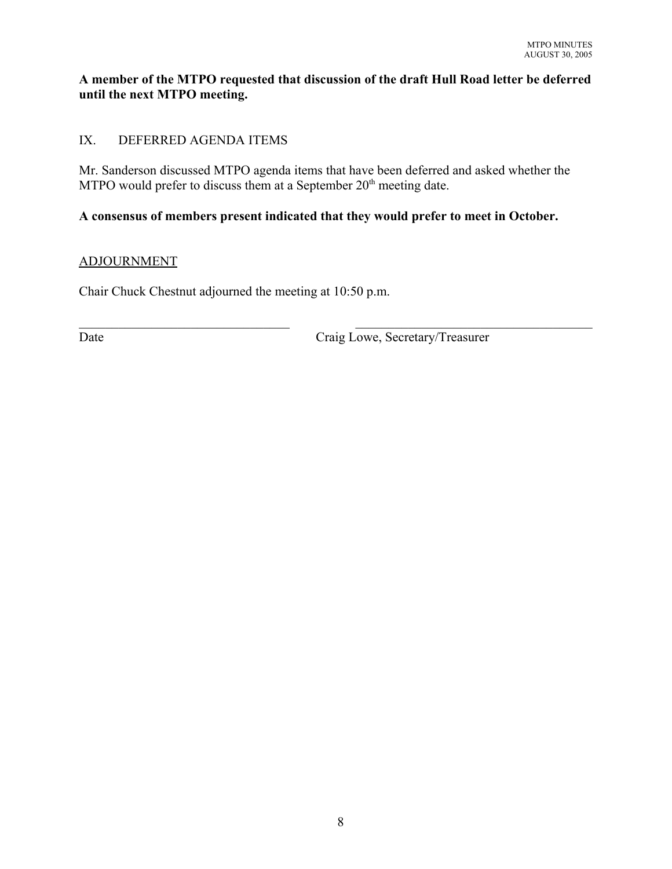### **A member of the MTPO requested that discussion of the draft Hull Road letter be deferred until the next MTPO meeting.**

## IX. DEFERRED AGENDA ITEMS

Mr. Sanderson discussed MTPO agenda items that have been deferred and asked whether the MTPO would prefer to discuss them at a September  $20<sup>th</sup>$  meeting date.

## **A consensus of members present indicated that they would prefer to meet in October.**

 $\mathcal{L}_\text{max} = \mathcal{L}_\text{max} = \mathcal{L}_\text{max} = \mathcal{L}_\text{max} = \mathcal{L}_\text{max} = \mathcal{L}_\text{max} = \mathcal{L}_\text{max} = \mathcal{L}_\text{max} = \mathcal{L}_\text{max} = \mathcal{L}_\text{max} = \mathcal{L}_\text{max} = \mathcal{L}_\text{max} = \mathcal{L}_\text{max} = \mathcal{L}_\text{max} = \mathcal{L}_\text{max} = \mathcal{L}_\text{max} = \mathcal{L}_\text{max} = \mathcal{L}_\text{max} = \mathcal{$ 

## ADJOURNMENT

Chair Chuck Chestnut adjourned the meeting at 10:50 p.m.

Date Craig Lowe, Secretary/Treasurer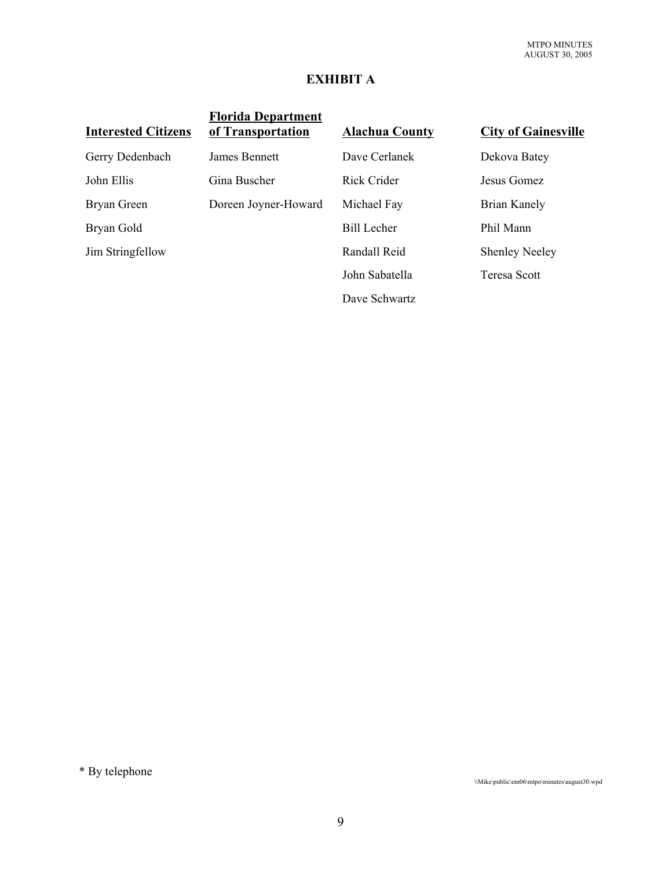## **EXHIBIT A**

| <b>Interested Citizens</b> | <b>Florida Department</b><br>of Transportation | <b>Alachua County</b> | <b>City of Gainesville</b> |
|----------------------------|------------------------------------------------|-----------------------|----------------------------|
| Gerry Dedenbach            | James Bennett                                  | Dave Cerlanek         | Dekova Batey               |
| John Ellis                 | Gina Buscher                                   | Rick Crider           | Jesus Gomez                |
| Bryan Green                | Doreen Joyner-Howard                           | Michael Fay           | Brian Kanely               |
| Bryan Gold                 |                                                | <b>Bill Lecher</b>    | Phil Mann                  |
| Jim Stringfellow           |                                                | Randall Reid          | <b>Shenley Neeley</b>      |
|                            |                                                | John Sabatella        | <b>Teresa Scott</b>        |
|                            |                                                | Dave Schwartz         |                            |

\* By telephone

\\Mike\public\em06\mtpo\minutes\august30.wpd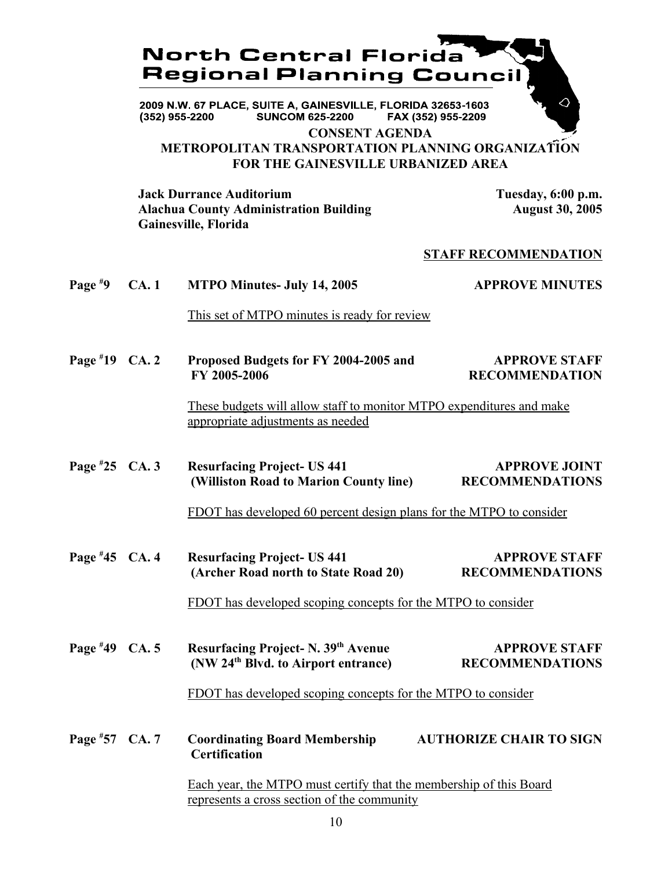

2009 N.W. 67 PLACE, SUITE A. GAINESVILLE, FLORIDA 32653-1603 (352) 955-2200 **SUNCOM 625-2200** FAX (352) 955-2209

**CONSENT AGENDA METROPOLITAN TRANSPORTATION PLANNING ORGANIZATION**

**FOR THE GAINESVILLE URBANIZED AREA**

**Jack Durrance Auditorium Tuesday, 6:00 p.m.** Alachua County Administration Building **August 30, 2005 Gainesville, Florida**

#### **STAFF RECOMMENDATION**

| Page $*9$ CA. 1 | <b>MTPO Minutes- July 14, 2005</b>           | <b>APPROVE MINUTES</b> |
|-----------------|----------------------------------------------|------------------------|
|                 | This set of MTPO minutes is ready for review |                        |

**Page # 19 Proposed Budgets for FY 2004-2005 and APPROVE STAFF FY 2005-2006** RECOMMENDATION

> These budgets will allow staff to monitor MTPO expenditures and make appropriate adjustments as needed

**Page # 25 Resurfacing Project- US 441 APPROVE JOINT (Williston Road to Marion County line) RECOMMENDATIONS**

FDOT has developed 60 percent design plans for the MTPO to consider

**Page # A** Resurfacing Project- US 441 **APPROVE STAFF (Archer Road north to State Road 20) RECOMMENDATIONS**

FDOT has developed scoping concepts for the MTPO to consider

**Page #** Resurfacing Project- N. 39<sup>th</sup> Avenue **APPROVE STAFF (NW 24th Blvd. to Airport entrance) RECOMMENDATIONS**

FDOT has developed scoping concepts for the MTPO to consider

**Page # 57 CA. 7 Coordinating Board Membership AUTHORIZE CHAIR TO SIGN Certification**

> Each year, the MTPO must certify that the membership of this Board represents a cross section of the community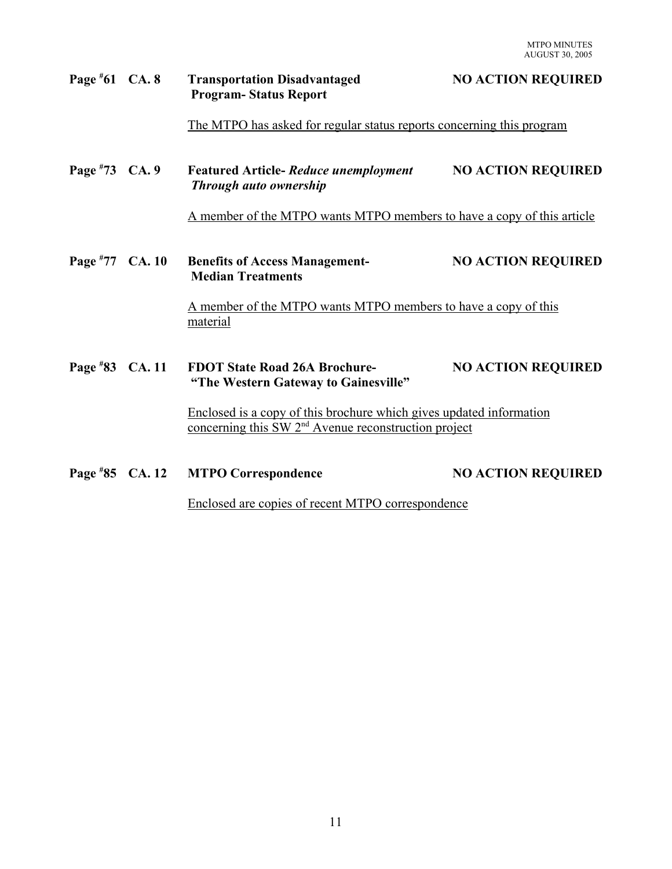# **Page # Fransportation Disadvantaged NO ACTION REQUIRED Program- Status Report** The MTPO has asked for regular status reports concerning this program Page #73 CA. 9 **73 CA. 9 Featured Article-** *Reduce unemployment* **NO ACTION REQUIRED** *Through auto ownership* A member of the MTPO wants MTPO members to have a copy of this article **Page # 77 Benefits of Access Management- NO ACTION REQUIRED Median Treatments** A member of the MTPO wants MTPO members to have a copy of this material **Page # 83 FDOT State Road 26A Brochure- NO ACTION REQUIRED "The Western Gateway to Gainesville"** Enclosed is a copy of this brochure which gives updated information concerning this  $\overline{SW}$   $2^{nd}$  Avenue reconstruction project **85 MTPO Correspondence NO ACTION REQUIRED**

Page #85 CA. 12

Enclosed are copies of recent MTPO correspondence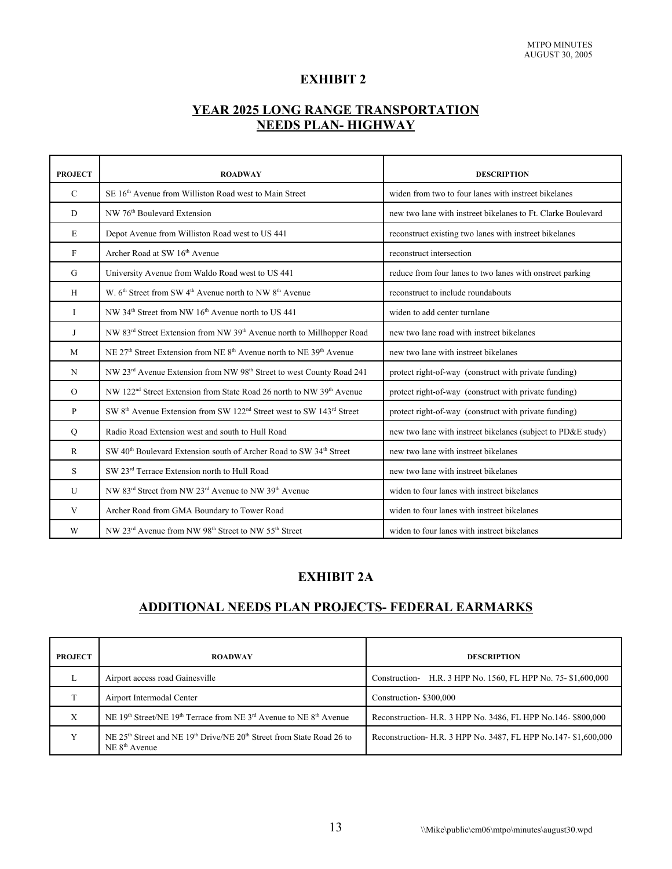## **EXHIBIT 2**

## **YEAR 2025 LONG RANGE TRANSPORTATION NEEDS PLAN- HIGHWAY**

| <b>PROJECT</b> | <b>ROADWAY</b>                                                                                           | <b>DESCRIPTION</b>                                           |
|----------------|----------------------------------------------------------------------------------------------------------|--------------------------------------------------------------|
| $\mathcal{C}$  | SE 16 <sup>th</sup> Avenue from Williston Road west to Main Street                                       | widen from two to four lanes with instreet bikelanes         |
| D              | NW 76 <sup>th</sup> Boulevard Extension                                                                  | new two lane with instreet bikelanes to Ft. Clarke Boulevard |
| E              | Depot Avenue from Williston Road west to US 441                                                          | reconstruct existing two lanes with instreet bikelanes       |
| F              | Archer Road at SW 16 <sup>th</sup> Avenue                                                                | reconstruct intersection                                     |
| G              | University Avenue from Waldo Road west to US 441                                                         | reduce from four lanes to two lanes with onstreet parking    |
| H              | W. 6 <sup>th</sup> Street from SW 4 <sup>th</sup> Avenue north to NW 8 <sup>th</sup> Avenue              | reconstruct to include roundabouts                           |
| I              | NW 34 <sup>th</sup> Street from NW 16 <sup>th</sup> Avenue north to US 441                               | widen to add center turnlane                                 |
| J              | NW 83 <sup>rd</sup> Street Extension from NW 39 <sup>th</sup> Avenue north to Millhopper Road            | new two lane road with instreet bikelanes                    |
| M              | NE 27 <sup>th</sup> Street Extension from NE 8 <sup>th</sup> Avenue north to NE 39 <sup>th</sup> Avenue  | new two lane with instreet bikelanes                         |
| N              | NW 23 <sup>rd</sup> Avenue Extension from NW 98 <sup>th</sup> Street to west County Road 241             | protect right-of-way (construct with private funding)        |
| $\Omega$       | NW 122 <sup>nd</sup> Street Extension from State Road 26 north to NW 39 <sup>th</sup> Avenue             | protect right-of-way (construct with private funding)        |
| $\mathbf{P}$   | SW 8 <sup>th</sup> Avenue Extension from SW 122 <sup>nd</sup> Street west to SW 143 <sup>rd</sup> Street | protect right-of-way (construct with private funding)        |
| Q              | Radio Road Extension west and south to Hull Road                                                         | new two lane with instreet bikelanes (subject to PD&E study) |
| $\mathbb{R}$   | SW 40 <sup>th</sup> Boulevard Extension south of Archer Road to SW 34 <sup>th</sup> Street               | new two lane with instreet bikelanes                         |
| S              | SW 23rd Terrace Extension north to Hull Road                                                             | new two lane with instreet bikelanes                         |
| $\mathbf{U}$   | NW 83 <sup>rd</sup> Street from NW 23 <sup>rd</sup> Avenue to NW 39 <sup>th</sup> Avenue                 | widen to four lanes with instreet bikelanes                  |
| V              | Archer Road from GMA Boundary to Tower Road                                                              | widen to four lanes with instreet bikelanes                  |
| W              | NW 23 <sup>rd</sup> Avenue from NW 98 <sup>th</sup> Street to NW 55 <sup>th</sup> Street                 | widen to four lanes with instreet bikelanes                  |

## **EXHIBIT 2A**

## **ADDITIONAL NEEDS PLAN PROJECTS- FEDERAL EARMARKS**

| <b>PROJECT</b>            | <b>ROADWAY</b>                                                                                                                 | <b>DESCRIPTION</b>                                             |
|---------------------------|--------------------------------------------------------------------------------------------------------------------------------|----------------------------------------------------------------|
| L                         | Airport access road Gainesville                                                                                                | Construction- H.R. 3 HPP No. 1560, FL HPP No. 75-\$1,600,000   |
|                           | Airport Intermodal Center                                                                                                      | Construction-\$300,000                                         |
| $\boldsymbol{\mathrm{X}}$ | NE 19 <sup>th</sup> Street/NE 19 <sup>th</sup> Terrace from NE $3rd$ Avenue to NE $8th$ Avenue                                 | Reconstruction- H.R. 3 HPP No. 3486, FL HPP No. 146-\$800,000  |
| v                         | $NE$ 25 <sup>th</sup> Street and NE 19 <sup>th</sup> Drive/NE 20 <sup>th</sup> Street from State Road 26 to<br>$NE 8th$ Avenue | Reconstruction- H.R. 3 HPP No. 3487, FL HPP No.147-\$1,600,000 |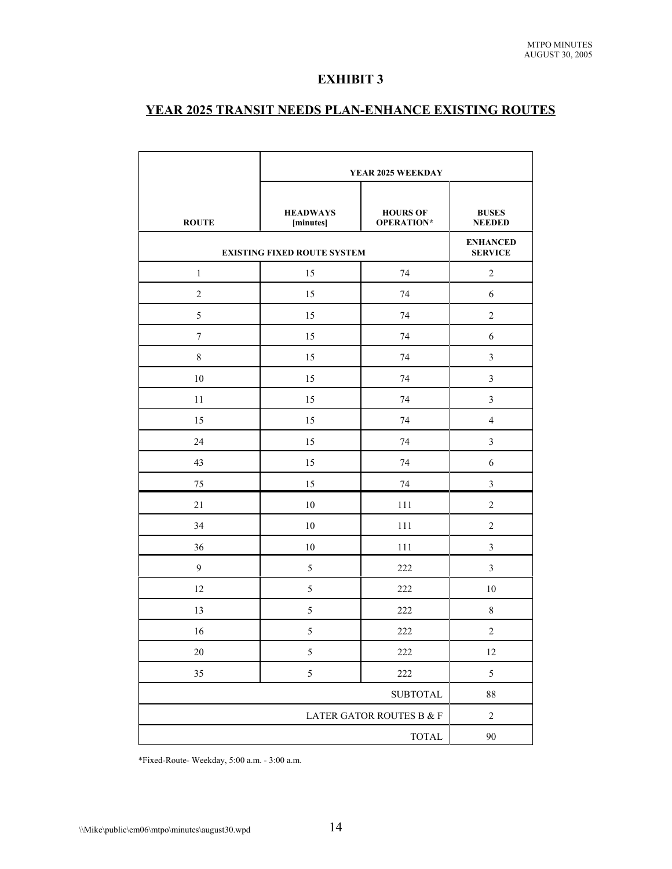#### **EXHIBIT 3**

## **YEAR 2025 TRANSIT NEEDS PLAN-ENHANCE EXISTING ROUTES**

|                                    | YEAR 2025 WEEKDAY            |                               |                                   |
|------------------------------------|------------------------------|-------------------------------|-----------------------------------|
| <b>ROUTE</b>                       | <b>HEADWAYS</b><br>[minutes] | <b>HOURS OF</b><br>OPERATION* | <b>BUSES</b><br><b>NEEDED</b>     |
| <b>EXISTING FIXED ROUTE SYSTEM</b> |                              |                               | <b>ENHANCED</b><br><b>SERVICE</b> |
| $\mathbf{1}$                       | 15                           | 74                            | $\sqrt{2}$                        |
| $\overline{2}$                     | 15                           | 74                            | 6                                 |
| 5                                  | 15                           | 74                            | $\overline{2}$                    |
| $\tau$                             | 15                           | 74                            | 6                                 |
| $\,$ 8 $\,$                        | 15                           | 74                            | 3                                 |
| 10                                 | 15                           | 74                            | 3                                 |
| 11                                 | 15                           | 74                            | 3                                 |
| 15                                 | 15                           | 74                            | $\overline{4}$                    |
| 24                                 | 15                           | 74                            | $\overline{\mathbf{3}}$           |
| 43                                 | 15                           | 74                            | 6                                 |
| 75                                 | 15                           | 74                            | $\mathfrak{Z}$                    |
| 21                                 | 10                           | 111                           | $\overline{c}$                    |
| 34                                 | 10                           | 111                           | $\overline{2}$                    |
| 36                                 | 10                           | 111                           | $\mathfrak{Z}$                    |
| 9                                  | 5                            | 222                           | 3                                 |
| 12                                 | 5                            | 222                           | 10                                |
| 13                                 | $\sqrt{5}$                   | 222                           | $\,$ 8 $\,$                       |
| 16                                 | 5                            | 222                           | $\overline{c}$                    |
| $20\,$                             | $\sqrt{5}$                   | 222                           | 12                                |
| 35                                 | 5                            | 222                           | $\sqrt{5}$                        |
|                                    |                              | <b>SUBTOTAL</b>               | 88                                |
|                                    |                              | LATER GATOR ROUTES B & F      | $\sqrt{2}$                        |
| <b>TOTAL</b>                       |                              |                               | $90\,$                            |

\*Fixed-Route- Weekday, 5:00 a.m. - 3:00 a.m.